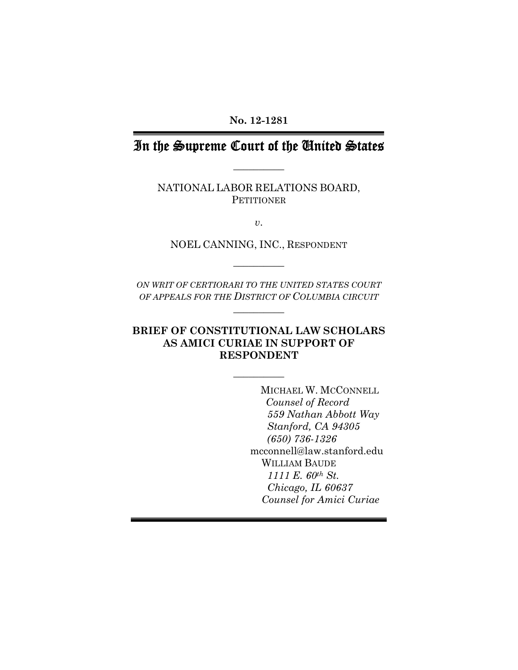**No. 12-1281** 

## In the Supreme Court of the United States

**\_\_\_\_\_\_\_\_\_\_** 

NATIONAL LABOR RELATIONS BOARD, **PETITIONER** 

*v*.

NOEL CANNING, INC., RESPONDENT

**\_\_\_\_\_\_\_\_\_\_** 

*ON WRIT OF CERTIORARI TO THE UNITED STATES COURT OF APPEALS FOR THE DISTRICT OF COLUMBIA CIRCUIT*

**\_\_\_\_\_\_\_\_\_\_** 

## **BRIEF OF CONSTITUTIONAL LAW SCHOLARS AS AMICI CURIAE IN SUPPORT OF RESPONDENT**

 $\overline{\phantom{a}}$ 

MICHAEL W. MCCONNELL *Counsel of Record 559 Nathan Abbott Way Stanford, CA 94305 (650) 736-1326* mcconnell@law.stanford.edu WILLIAM BAUDE  *1111 E. 60th St. Chicago, IL 60637 Counsel for Amici Curiae*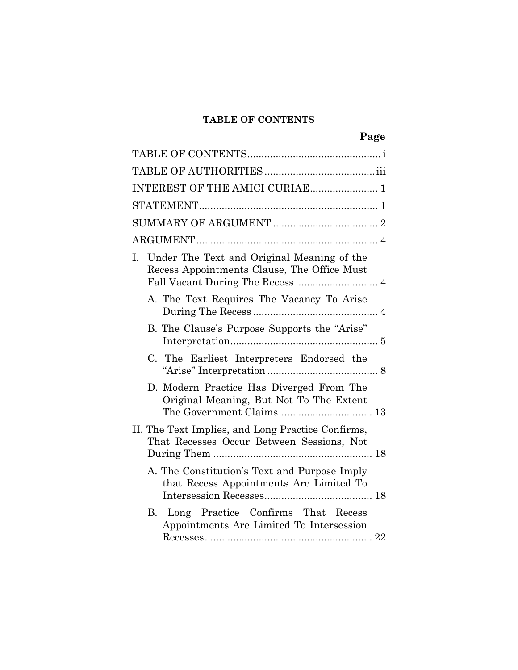## **TABLE OF CONTENTS**

| Page                                                                                           |
|------------------------------------------------------------------------------------------------|
|                                                                                                |
|                                                                                                |
| INTEREST OF THE AMICI CURIAE 1                                                                 |
|                                                                                                |
|                                                                                                |
|                                                                                                |
| I. Under The Text and Original Meaning of the<br>Recess Appointments Clause, The Office Must   |
| A. The Text Requires The Vacancy To Arise                                                      |
| B. The Clause's Purpose Supports the "Arise"                                                   |
| C. The Earliest Interpreters Endorsed the                                                      |
| D. Modern Practice Has Diverged From The<br>Original Meaning, But Not To The Extent            |
| II. The Text Implies, and Long Practice Confirms,<br>That Recesses Occur Between Sessions, Not |
| A. The Constitution's Text and Purpose Imply<br>that Recess Appointments Are Limited To        |
| B. Long Practice Confirms That Recess<br>Appointments Are Limited To Intersession              |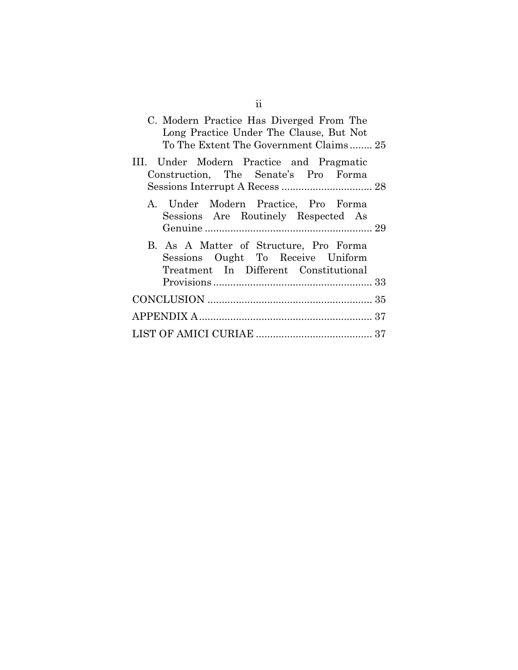| C. Modern Practice Has Diverged From The<br>Long Practice Under The Clause, But Not<br>To The Extent The Government Claims 25 |
|-------------------------------------------------------------------------------------------------------------------------------|
| III. Under Modern Practice and Pragmatic<br>Construction, The Senate's Pro Forma                                              |
| A. Under Modern Practice, Pro Forma<br>Sessions Are Routinely Respected As                                                    |
| B. As A Matter of Structure, Pro Forma<br>Sessions Ought To Receive Uniform<br>Treatment In Different Constitutional          |
|                                                                                                                               |
|                                                                                                                               |
|                                                                                                                               |
|                                                                                                                               |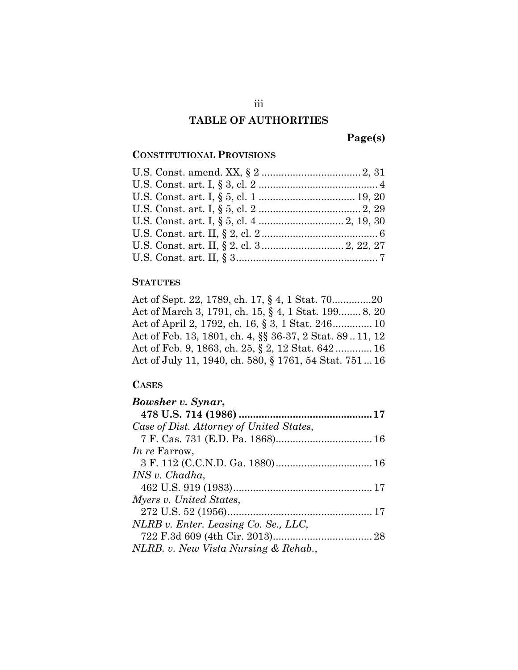#### **TABLE OF AUTHORITIES**

**Page(s)** 

#### **CONSTITUTIONAL PROVISIONS**

#### **STATUTES**

Act of Sept. 22, 1789, ch. 17, § 4, 1 Stat. 70..............20 Act of March 3, 1791, ch. 15, § 4, 1 Stat. 199........ 8, 20 Act of April 2, 1792, ch. 16, § 3, 1 Stat. 246 .............. 10 Act of Feb. 13, 1801, ch. 4, §§ 36-37, 2 Stat. 89 .. 11, 12 Act of Feb. 9, 1863, ch. 25, § 2, 12 Stat. 642 ............. 16 Act of July 11, 1940, ch. 580, § 1761, 54 Stat. 751 ... 16

#### **CASES**

| Bowsher v. Synar,                        |  |
|------------------------------------------|--|
|                                          |  |
| Case of Dist. Attorney of United States, |  |
|                                          |  |
| <i>In re</i> Farrow,                     |  |
|                                          |  |
| INS v. Chadha,                           |  |
|                                          |  |
| Myers v. United States,                  |  |
|                                          |  |
| NLRB v. Enter. Leasing Co. Se., LLC,     |  |
|                                          |  |
| NLRB. v. New Vista Nursing & Rehab.,     |  |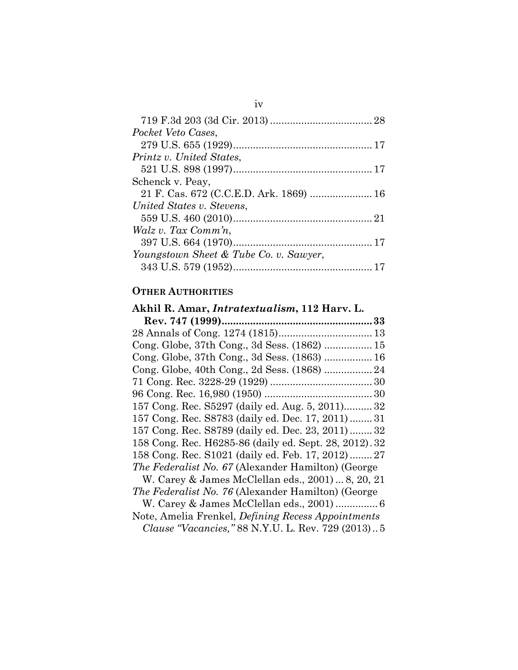iv

#### **OTHER AUTHORITIES**

## **Akhil R. Amar,** *Intratextualism***, 112 Harv. L. Rev. 747 (1999) ..................................................... 33**  28 Annals of Cong. 1274 (1815) ................................. 13 Cong. Globe, 37th Cong., 3d Sess. (1862) ................. 15 Cong. Globe, 37th Cong., 3d Sess. (1863) ................. 16 Cong. Globe, 40th Cong., 2d Sess. (1868) ................. 24 71 Cong. Rec. 3228-29 (1929) .................................... 30 96 Cong. Rec. 16,980 (1950) ...................................... 30 157 Cong. Rec. S5297 (daily ed. Aug. 5, 2011) .......... 32 157 Cong. Rec. S8783 (daily ed. Dec. 17, 2011) ........ 31 157 Cong. Rec. S8789 (daily ed. Dec. 23, 2011) ........ 32 158 Cong. Rec. H6285-86 (daily ed. Sept. 28, 2012) . 32 158 Cong. Rec. S1021 (daily ed. Feb. 17, 2012) ........ 27 *The Federalist No. 67* (Alexander Hamilton) (George W. Carey & James McClellan eds., 2001) ... 8, 20, 21 *The Federalist No. 76* (Alexander Hamilton) (George W. Carey & James McClellan eds., 2001) ............... 6 Note, Amelia Frenkel, *Defining Recess Appointments Clause "Vacancies,"* 88 N.Y.U. L. Rev. 729 (2013) .. 5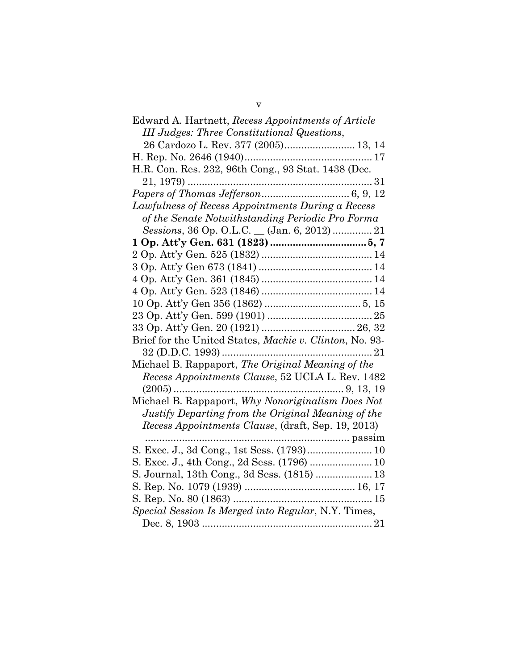| Edward A. Hartnett, Recess Appointments of Article      |
|---------------------------------------------------------|
| <b>III</b> Judges: Three Constitutional Questions,      |
| 26 Cardozo L. Rev. 377 (2005) 13, 14                    |
|                                                         |
| H.R. Con. Res. 232, 96th Cong., 93 Stat. 1438 (Dec.     |
|                                                         |
|                                                         |
| Lawfulness of Recess Appointments During a Recess       |
| of the Senate Notwithstanding Periodic Pro Forma        |
| Sessions, 36 Op. O.L.C. _ (Jan. 6, 2012)  21            |
|                                                         |
|                                                         |
|                                                         |
|                                                         |
|                                                         |
|                                                         |
|                                                         |
|                                                         |
| Brief for the United States, Mackie v. Clinton, No. 93- |
|                                                         |
| Michael B. Rappaport, The Original Meaning of the       |
| Recess Appointments Clause, 52 UCLA L. Rev. 1482        |
|                                                         |
| Michael B. Rappaport, Why Nonoriginalism Does Not       |
| Justify Departing from the Original Meaning of the      |
| Recess Appointments Clause, (draft, Sep. 19, 2013)      |
|                                                         |
|                                                         |
|                                                         |
| S. Journal, 13th Cong., 3d Sess. (1815)  13             |
|                                                         |
|                                                         |
| Special Session Is Merged into Regular, N.Y. Times,     |
|                                                         |
|                                                         |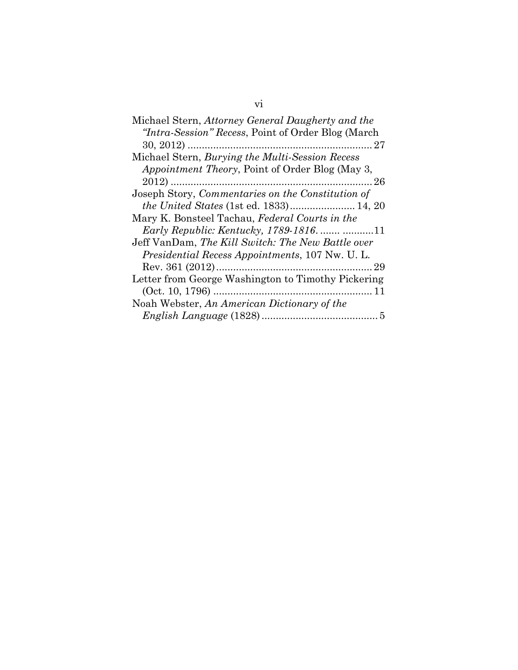# vi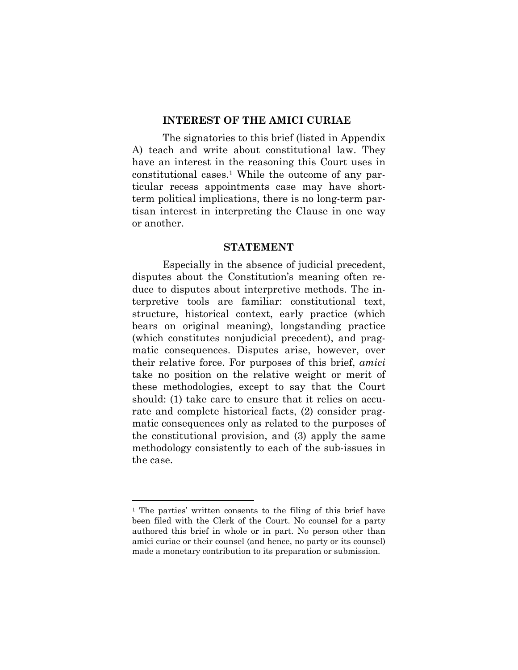#### **INTEREST OF THE AMICI CURIAE**

The signatories to this brief (listed in Appendix A) teach and write about constitutional law. They have an interest in the reasoning this Court uses in constitutional cases.1 While the outcome of any particular recess appointments case may have shortterm political implications, there is no long-term partisan interest in interpreting the Clause in one way or another.

#### **STATEMENT**

Especially in the absence of judicial precedent, disputes about the Constitution's meaning often reduce to disputes about interpretive methods. The interpretive tools are familiar: constitutional text, structure, historical context, early practice (which bears on original meaning), longstanding practice (which constitutes nonjudicial precedent), and pragmatic consequences. Disputes arise, however, over their relative force. For purposes of this brief, *amici* take no position on the relative weight or merit of these methodologies, except to say that the Court should: (1) take care to ensure that it relies on accurate and complete historical facts, (2) consider pragmatic consequences only as related to the purposes of the constitutional provision, and (3) apply the same methodology consistently to each of the sub-issues in the case.

<sup>1</sup> The parties' written consents to the filing of this brief have been filed with the Clerk of the Court. No counsel for a party authored this brief in whole or in part. No person other than amici curiae or their counsel (and hence, no party or its counsel) made a monetary contribution to its preparation or submission.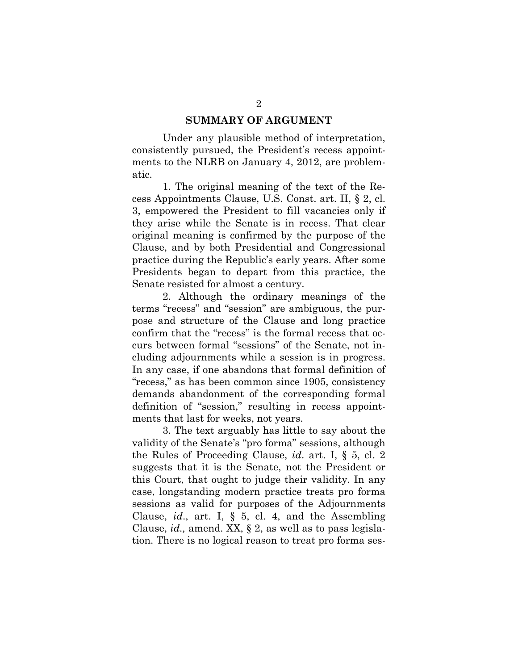#### **SUMMARY OF ARGUMENT**

Under any plausible method of interpretation, consistently pursued, the President's recess appointments to the NLRB on January 4, 2012, are problematic.

1. The original meaning of the text of the Recess Appointments Clause, U.S. Const. art. II, § 2, cl. 3, empowered the President to fill vacancies only if they arise while the Senate is in recess. That clear original meaning is confirmed by the purpose of the Clause, and by both Presidential and Congressional practice during the Republic's early years. After some Presidents began to depart from this practice, the Senate resisted for almost a century.

2. Although the ordinary meanings of the terms "recess" and "session" are ambiguous, the purpose and structure of the Clause and long practice confirm that the "recess" is the formal recess that occurs between formal "sessions" of the Senate, not including adjournments while a session is in progress. In any case, if one abandons that formal definition of "recess," as has been common since 1905, consistency demands abandonment of the corresponding formal definition of "session," resulting in recess appointments that last for weeks, not years.

3. The text arguably has little to say about the validity of the Senate's "pro forma" sessions, although the Rules of Proceeding Clause, *id*. art. I, § 5, cl. 2 suggests that it is the Senate, not the President or this Court, that ought to judge their validity. In any case, longstanding modern practice treats pro forma sessions as valid for purposes of the Adjournments Clause, *id*., art. I, § 5, cl. 4, and the Assembling Clause, *id.,* amend. XX, § 2, as well as to pass legislation. There is no logical reason to treat pro forma ses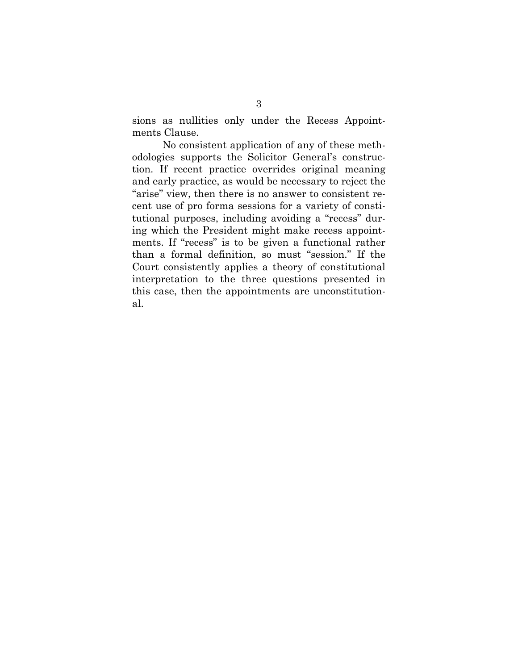sions as nullities only under the Recess Appointments Clause.

No consistent application of any of these methodologies supports the Solicitor General's construction. If recent practice overrides original meaning and early practice, as would be necessary to reject the "arise" view, then there is no answer to consistent recent use of pro forma sessions for a variety of constitutional purposes, including avoiding a "recess" during which the President might make recess appointments. If "recess" is to be given a functional rather than a formal definition, so must "session." If the Court consistently applies a theory of constitutional interpretation to the three questions presented in this case, then the appointments are unconstitutional.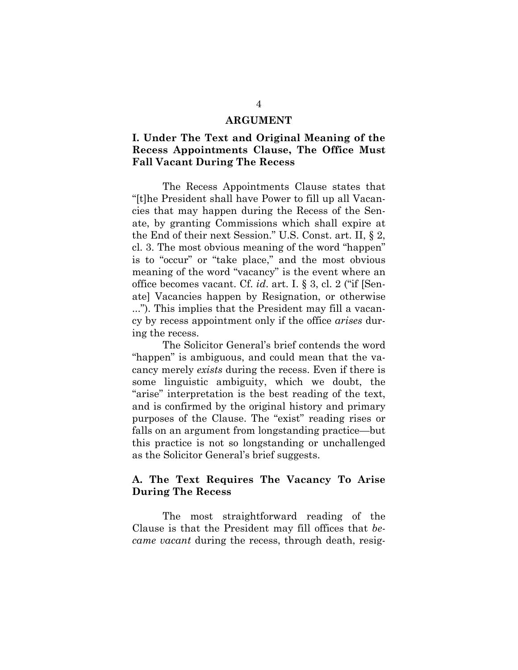#### **ARGUMENT**

## **I. Under The Text and Original Meaning of the Recess Appointments Clause, The Office Must Fall Vacant During The Recess**

 The Recess Appointments Clause states that "[t]he President shall have Power to fill up all Vacancies that may happen during the Recess of the Senate, by granting Commissions which shall expire at the End of their next Session." U.S. Const. art. II, § 2, cl. 3. The most obvious meaning of the word "happen" is to "occur" or "take place," and the most obvious meaning of the word "vacancy" is the event where an office becomes vacant. Cf. *id*. art. I. § 3, cl. 2 ("if [Senate] Vacancies happen by Resignation, or otherwise ..."). This implies that the President may fill a vacancy by recess appointment only if the office *arises* during the recess.

The Solicitor General's brief contends the word "happen" is ambiguous, and could mean that the vacancy merely *exists* during the recess. Even if there is some linguistic ambiguity, which we doubt, the "arise" interpretation is the best reading of the text, and is confirmed by the original history and primary purposes of the Clause. The "exist" reading rises or falls on an argument from longstanding practice—but this practice is not so longstanding or unchallenged as the Solicitor General's brief suggests.

## **A. The Text Requires The Vacancy To Arise During The Recess**

 The most straightforward reading of the Clause is that the President may fill offices that *became vacant* during the recess, through death, resig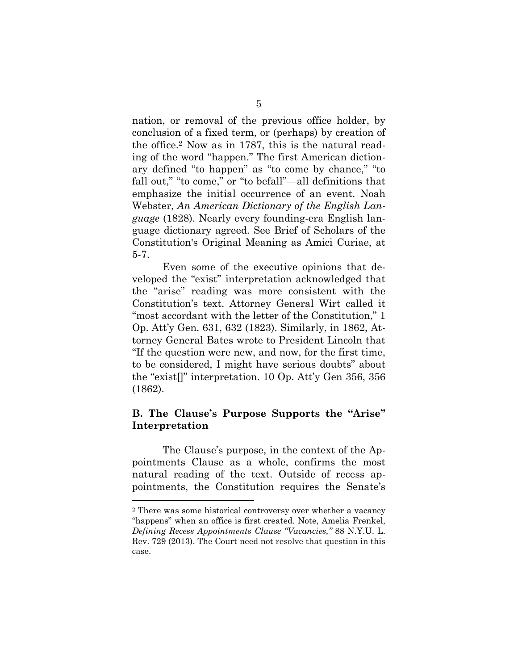nation, or removal of the previous office holder, by conclusion of a fixed term, or (perhaps) by creation of the office.2 Now as in 1787, this is the natural reading of the word "happen." The first American dictionary defined "to happen" as "to come by chance," "to fall out," "to come," or "to befall"—all definitions that emphasize the initial occurrence of an event. Noah Webster, *An American Dictionary of the English Language* (1828). Nearly every founding-era English language dictionary agreed. See Brief of Scholars of the Constitution's Original Meaning as Amici Curiae, at 5-7.

 Even some of the executive opinions that developed the "exist" interpretation acknowledged that the "arise" reading was more consistent with the Constitution's text. Attorney General Wirt called it "most accordant with the letter of the Constitution," 1 Op. Att'y Gen. 631, 632 (1823). Similarly, in 1862, Attorney General Bates wrote to President Lincoln that "If the question were new, and now, for the first time, to be considered, I might have serious doubts" about the "exist[]" interpretation. 10 Op. Att'y Gen 356, 356 (1862).

## **B. The Clause's Purpose Supports the "Arise" Interpretation**

 The Clause's purpose, in the context of the Appointments Clause as a whole, confirms the most natural reading of the text. Outside of recess appointments, the Constitution requires the Senate's

<sup>2</sup> There was some historical controversy over whether a vacancy "happens" when an office is first created. Note, Amelia Frenkel, *Defining Recess Appointments Clause "Vacancies,"* 88 N.Y.U. L. Rev. 729 (2013). The Court need not resolve that question in this case.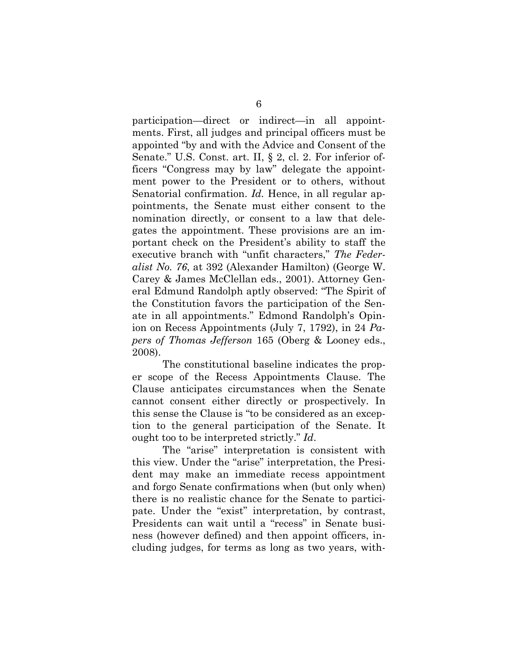participation—direct or indirect—in all appointments. First, all judges and principal officers must be appointed "by and with the Advice and Consent of the Senate." U.S. Const. art. II, § 2, cl. 2. For inferior officers "Congress may by law" delegate the appointment power to the President or to others, without Senatorial confirmation. *Id.* Hence, in all regular appointments, the Senate must either consent to the nomination directly, or consent to a law that delegates the appointment. These provisions are an important check on the President's ability to staff the executive branch with "unfit characters," *The Federalist No. 76*, at 392 (Alexander Hamilton) (George W. Carey & James McClellan eds., 2001). Attorney General Edmund Randolph aptly observed: "The Spirit of the Constitution favors the participation of the Senate in all appointments." Edmond Randolph's Opinion on Recess Appointments (July 7, 1792), in 24 *Papers of Thomas Jefferson* 165 (Oberg & Looney eds., 2008).

The constitutional baseline indicates the proper scope of the Recess Appointments Clause. The Clause anticipates circumstances when the Senate cannot consent either directly or prospectively. In this sense the Clause is "to be considered as an exception to the general participation of the Senate. It ought too to be interpreted strictly." *Id*.

The "arise" interpretation is consistent with this view. Under the "arise" interpretation, the President may make an immediate recess appointment and forgo Senate confirmations when (but only when) there is no realistic chance for the Senate to participate. Under the "exist" interpretation, by contrast, Presidents can wait until a "recess" in Senate business (however defined) and then appoint officers, including judges, for terms as long as two years, with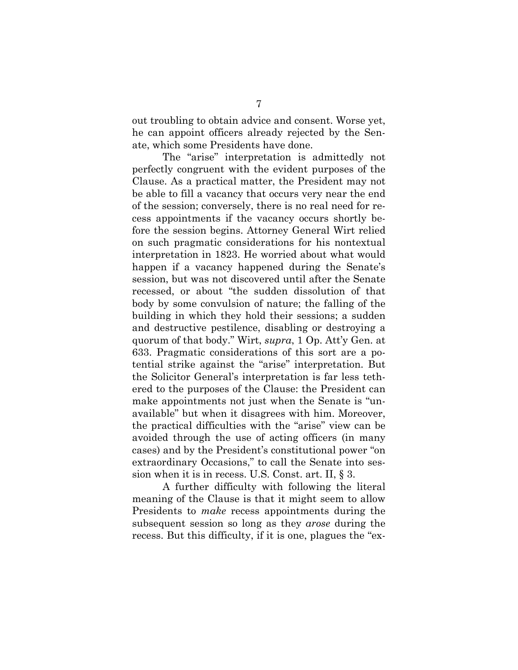out troubling to obtain advice and consent. Worse yet, he can appoint officers already rejected by the Senate, which some Presidents have done.

The "arise" interpretation is admittedly not perfectly congruent with the evident purposes of the Clause. As a practical matter, the President may not be able to fill a vacancy that occurs very near the end of the session; conversely, there is no real need for recess appointments if the vacancy occurs shortly before the session begins. Attorney General Wirt relied on such pragmatic considerations for his nontextual interpretation in 1823. He worried about what would happen if a vacancy happened during the Senate's session, but was not discovered until after the Senate recessed, or about "the sudden dissolution of that body by some convulsion of nature; the falling of the building in which they hold their sessions; a sudden and destructive pestilence, disabling or destroying a quorum of that body." Wirt, *supra*, 1 Op. Att'y Gen. at 633. Pragmatic considerations of this sort are a potential strike against the "arise" interpretation. But the Solicitor General's interpretation is far less tethered to the purposes of the Clause: the President can make appointments not just when the Senate is "unavailable" but when it disagrees with him. Moreover, the practical difficulties with the "arise" view can be avoided through the use of acting officers (in many cases) and by the President's constitutional power "on extraordinary Occasions," to call the Senate into session when it is in recess. U.S. Const. art. II, § 3.

A further difficulty with following the literal meaning of the Clause is that it might seem to allow Presidents to *make* recess appointments during the subsequent session so long as they *arose* during the recess. But this difficulty, if it is one, plagues the "ex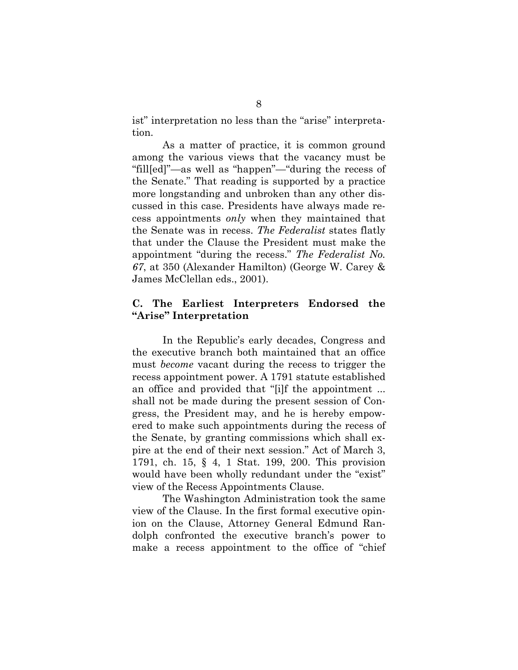ist" interpretation no less than the "arise" interpretation.

As a matter of practice, it is common ground among the various views that the vacancy must be "fill[ed]"—as well as "happen"—"during the recess of the Senate." That reading is supported by a practice more longstanding and unbroken than any other discussed in this case. Presidents have always made recess appointments *only* when they maintained that the Senate was in recess. *The Federalist* states flatly that under the Clause the President must make the appointment "during the recess." *The Federalist No. 67*, at 350 (Alexander Hamilton) (George W. Carey & James McClellan eds., 2001).

## **C. The Earliest Interpreters Endorsed the "Arise" Interpretation**

 In the Republic's early decades, Congress and the executive branch both maintained that an office must *become* vacant during the recess to trigger the recess appointment power. A 1791 statute established an office and provided that "[i]f the appointment ... shall not be made during the present session of Congress, the President may, and he is hereby empowered to make such appointments during the recess of the Senate, by granting commissions which shall expire at the end of their next session." Act of March 3, 1791, ch. 15, § 4, 1 Stat. 199, 200. This provision would have been wholly redundant under the "exist" view of the Recess Appointments Clause.

The Washington Administration took the same view of the Clause. In the first formal executive opinion on the Clause, Attorney General Edmund Randolph confronted the executive branch's power to make a recess appointment to the office of "chief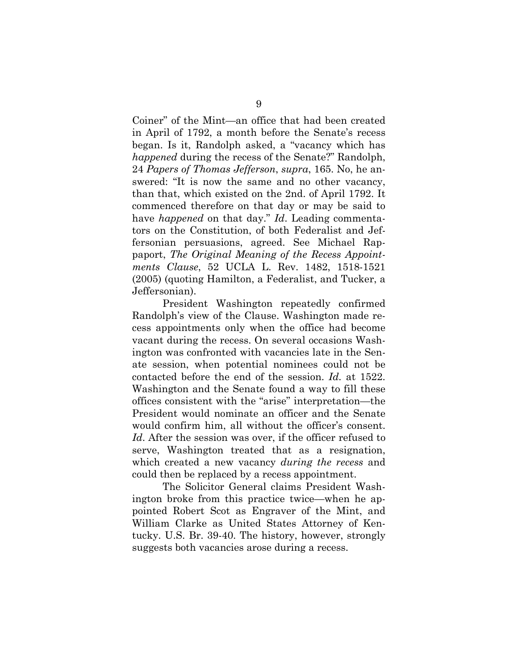Coiner" of the Mint—an office that had been created in April of 1792, a month before the Senate's recess began. Is it, Randolph asked, a "vacancy which has *happened* during the recess of the Senate?" Randolph, 24 *Papers of Thomas Jefferson*, *supra*, 165. No, he answered: "It is now the same and no other vacancy, than that, which existed on the 2nd. of April 1792. It commenced therefore on that day or may be said to have *happened* on that day." *Id*. Leading commentators on the Constitution, of both Federalist and Jeffersonian persuasions, agreed. See Michael Rappaport, *The Original Meaning of the Recess Appointments Clause*, 52 UCLA L. Rev. 1482, 1518-1521 (2005) (quoting Hamilton, a Federalist, and Tucker, a Jeffersonian).

 President Washington repeatedly confirmed Randolph's view of the Clause. Washington made recess appointments only when the office had become vacant during the recess. On several occasions Washington was confronted with vacancies late in the Senate session, when potential nominees could not be contacted before the end of the session. *Id.* at 1522. Washington and the Senate found a way to fill these offices consistent with the "arise" interpretation—the President would nominate an officer and the Senate would confirm him, all without the officer's consent. *Id*. After the session was over, if the officer refused to serve, Washington treated that as a resignation, which created a new vacancy *during the recess* and could then be replaced by a recess appointment.

 The Solicitor General claims President Washington broke from this practice twice—when he appointed Robert Scot as Engraver of the Mint, and William Clarke as United States Attorney of Kentucky. U.S. Br. 39-40. The history, however, strongly suggests both vacancies arose during a recess.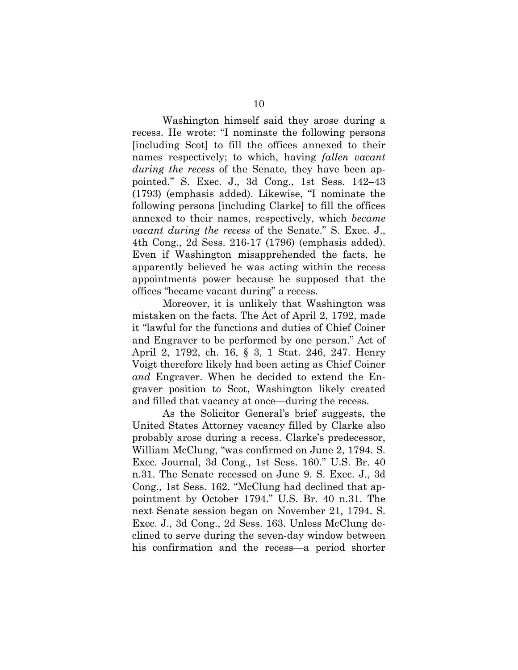Washington himself said they arose during a recess. He wrote: "I nominate the following persons [including Scot] to fill the offices annexed to their names respectively; to which, having *fallen vacant during the recess* of the Senate, they have been appointed." S. Exec. J., 3d Cong., 1st Sess. 142–43 (1793) (emphasis added). Likewise, "I nominate the following persons [including Clarke] to fill the offices annexed to their names, respectively, which *became vacant during the recess* of the Senate." S. Exec. J., 4th Cong., 2d Sess. 216-17 (1796) (emphasis added). Even if Washington misapprehended the facts, he apparently believed he was acting within the recess appointments power because he supposed that the offices "became vacant during" a recess.

Moreover, it is unlikely that Washington was mistaken on the facts. The Act of April 2, 1792, made it "lawful for the functions and duties of Chief Coiner and Engraver to be performed by one person." Act of April 2, 1792, ch. 16, § 3, 1 Stat. 246, 247. Henry Voigt therefore likely had been acting as Chief Coiner *and* Engraver. When he decided to extend the Engraver position to Scot, Washington likely created and filled that vacancy at once—during the recess.

 As the Solicitor General's brief suggests, the United States Attorney vacancy filled by Clarke also probably arose during a recess. Clarke's predecessor, William McClung, "was confirmed on June 2, 1794. S. Exec. Journal, 3d Cong., 1st Sess. 160." U.S. Br. 40 n.31. The Senate recessed on June 9. S. Exec. J., 3d Cong., 1st Sess. 162. "McClung had declined that appointment by October 1794." U.S. Br. 40 n.31. The next Senate session began on November 21, 1794. S. Exec. J., 3d Cong., 2d Sess. 163. Unless McClung declined to serve during the seven-day window between his confirmation and the recess—a period shorter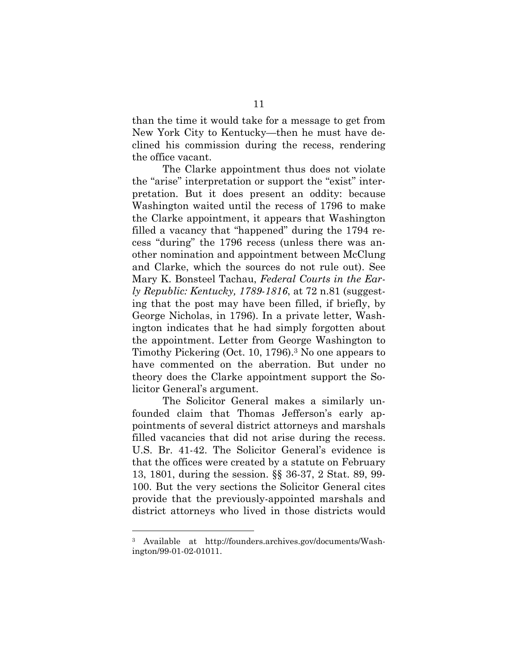than the time it would take for a message to get from New York City to Kentucky—then he must have declined his commission during the recess, rendering the office vacant.

The Clarke appointment thus does not violate the "arise" interpretation or support the "exist" interpretation. But it does present an oddity: because Washington waited until the recess of 1796 to make the Clarke appointment, it appears that Washington filled a vacancy that "happened" during the 1794 recess "during" the 1796 recess (unless there was another nomination and appointment between McClung and Clarke, which the sources do not rule out). See Mary K. Bonsteel Tachau, *Federal Courts in the Early Republic: Kentucky, 1789-1816*, at 72 n.81 (suggesting that the post may have been filled, if briefly, by George Nicholas, in 1796). In a private letter, Washington indicates that he had simply forgotten about the appointment. Letter from George Washington to Timothy Pickering (Oct. 10, 1796).3 No one appears to have commented on the aberration. But under no theory does the Clarke appointment support the Solicitor General's argument.

 The Solicitor General makes a similarly unfounded claim that Thomas Jefferson's early appointments of several district attorneys and marshals filled vacancies that did not arise during the recess. U.S. Br. 41-42. The Solicitor General's evidence is that the offices were created by a statute on February 13, 1801, during the session. §§ 36-37, 2 Stat. 89, 99- 100. But the very sections the Solicitor General cites provide that the previously-appointed marshals and district attorneys who lived in those districts would

<sup>3</sup> Available at http://founders.archives.gov/documents/Washington/99-01-02-01011.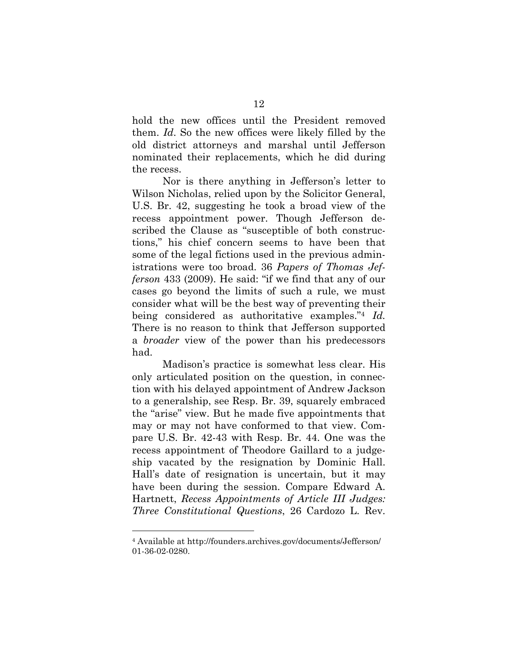hold the new offices until the President removed them. *Id*. So the new offices were likely filled by the old district attorneys and marshal until Jefferson nominated their replacements, which he did during the recess.

 Nor is there anything in Jefferson's letter to Wilson Nicholas, relied upon by the Solicitor General, U.S. Br. 42, suggesting he took a broad view of the recess appointment power. Though Jefferson described the Clause as "susceptible of both constructions," his chief concern seems to have been that some of the legal fictions used in the previous administrations were too broad. 36 *Papers of Thomas Jefferson* 433 (2009). He said: "if we find that any of our cases go beyond the limits of such a rule, we must consider what will be the best way of preventing their being considered as authoritative examples."4 *Id.*  There is no reason to think that Jefferson supported a *broader* view of the power than his predecessors had.

 Madison's practice is somewhat less clear. His only articulated position on the question, in connection with his delayed appointment of Andrew Jackson to a generalship, see Resp. Br. 39, squarely embraced the "arise" view. But he made five appointments that may or may not have conformed to that view. Compare U.S. Br. 42-43 with Resp. Br. 44. One was the recess appointment of Theodore Gaillard to a judgeship vacated by the resignation by Dominic Hall. Hall's date of resignation is uncertain, but it may have been during the session. Compare Edward A. Hartnett, *Recess Appointments of Article III Judges: Three Constitutional Questions*, 26 Cardozo L. Rev.

<sup>4</sup> Available at http://founders.archives.gov/documents/Jefferson/ 01-36-02-0280.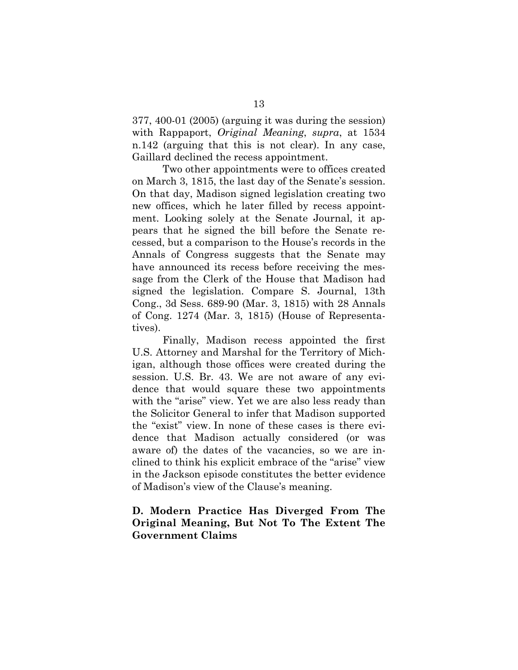377, 400-01 (2005) (arguing it was during the session) with Rappaport, *Original Meaning*, *supra*, at 1534 n.142 (arguing that this is not clear). In any case, Gaillard declined the recess appointment.

Two other appointments were to offices created on March 3, 1815, the last day of the Senate's session. On that day, Madison signed legislation creating two new offices, which he later filled by recess appointment. Looking solely at the Senate Journal, it appears that he signed the bill before the Senate recessed, but a comparison to the House's records in the Annals of Congress suggests that the Senate may have announced its recess before receiving the message from the Clerk of the House that Madison had signed the legislation. Compare S. Journal, 13th Cong., 3d Sess. 689-90 (Mar. 3, 1815) with 28 Annals of Cong. 1274 (Mar. 3, 1815) (House of Representatives).

Finally, Madison recess appointed the first U.S. Attorney and Marshal for the Territory of Michigan, although those offices were created during the session. U.S. Br. 43. We are not aware of any evidence that would square these two appointments with the "arise" view. Yet we are also less ready than the Solicitor General to infer that Madison supported the "exist" view. In none of these cases is there evidence that Madison actually considered (or was aware of) the dates of the vacancies, so we are inclined to think his explicit embrace of the "arise" view in the Jackson episode constitutes the better evidence of Madison's view of the Clause's meaning.

## **D. Modern Practice Has Diverged From The Original Meaning, But Not To The Extent The Government Claims**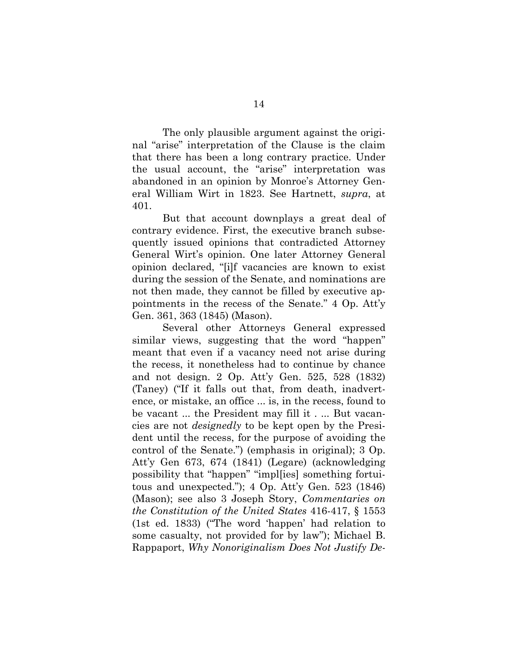The only plausible argument against the original "arise" interpretation of the Clause is the claim that there has been a long contrary practice. Under the usual account, the "arise" interpretation was abandoned in an opinion by Monroe's Attorney General William Wirt in 1823. See Hartnett, *supra*, at 401.

But that account downplays a great deal of contrary evidence. First, the executive branch subsequently issued opinions that contradicted Attorney General Wirt's opinion. One later Attorney General opinion declared, "[i]f vacancies are known to exist during the session of the Senate, and nominations are not then made, they cannot be filled by executive appointments in the recess of the Senate." 4 Op. Att'y Gen. 361, 363 (1845) (Mason).

Several other Attorneys General expressed similar views, suggesting that the word "happen" meant that even if a vacancy need not arise during the recess, it nonetheless had to continue by chance and not design. 2 Op. Att'y Gen. 525, 528 (1832) (Taney) ("If it falls out that, from death, inadvertence, or mistake, an office ... is, in the recess, found to be vacant ... the President may fill it . ... But vacancies are not *designedly* to be kept open by the President until the recess, for the purpose of avoiding the control of the Senate.") (emphasis in original); 3 Op. Att'y Gen 673, 674 (1841) (Legare) (acknowledging possibility that "happen" "impl[ies] something fortuitous and unexpected."); 4 Op. Att'y Gen. 523 (1846) (Mason); see also 3 Joseph Story, *Commentaries on the Constitution of the United States* 416-417, § 1553 (1st ed. 1833) ("The word 'happen' had relation to some casualty, not provided for by law"); Michael B. Rappaport, *Why Nonoriginalism Does Not Justify De-*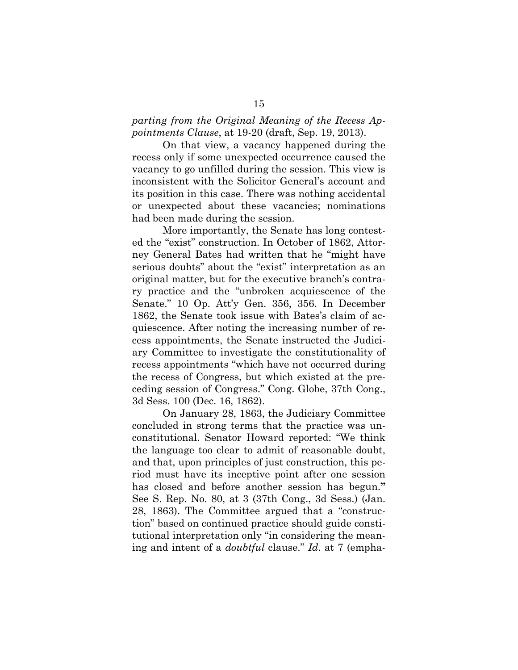#### *parting from the Original Meaning of the Recess Appointments Clause*, at 19-20 (draft, Sep. 19, 2013).

On that view, a vacancy happened during the recess only if some unexpected occurrence caused the vacancy to go unfilled during the session. This view is inconsistent with the Solicitor General's account and its position in this case. There was nothing accidental or unexpected about these vacancies; nominations had been made during the session.

 More importantly, the Senate has long contested the "exist" construction. In October of 1862, Attorney General Bates had written that he "might have serious doubts" about the "exist" interpretation as an original matter, but for the executive branch's contrary practice and the "unbroken acquiescence of the Senate." 10 Op. Att'y Gen. 356, 356. In December 1862, the Senate took issue with Bates's claim of acquiescence. After noting the increasing number of recess appointments, the Senate instructed the Judiciary Committee to investigate the constitutionality of recess appointments "which have not occurred during the recess of Congress, but which existed at the preceding session of Congress." Cong. Globe, 37th Cong., 3d Sess. 100 (Dec. 16, 1862).

On January 28, 1863, the Judiciary Committee concluded in strong terms that the practice was unconstitutional. Senator Howard reported: "We think the language too clear to admit of reasonable doubt, and that, upon principles of just construction, this period must have its inceptive point after one session has closed and before another session has begun.**"**  See S. Rep. No. 80, at 3 (37th Cong., 3d Sess.) (Jan. 28, 1863). The Committee argued that a "construction" based on continued practice should guide constitutional interpretation only "in considering the meaning and intent of a *doubtful* clause." *Id*. at 7 (empha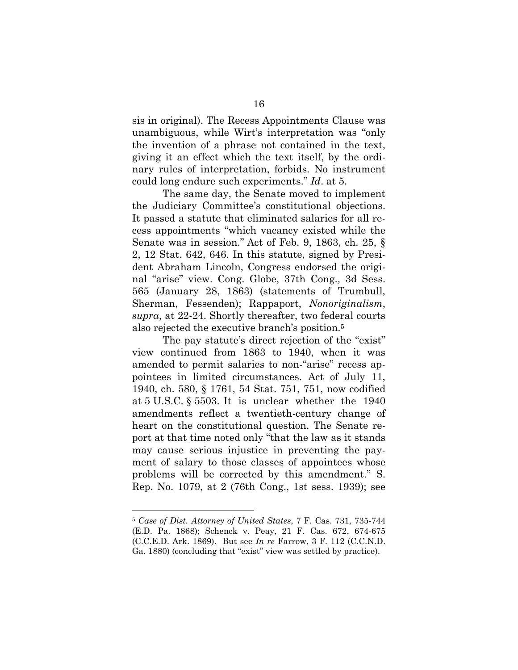sis in original). The Recess Appointments Clause was unambiguous, while Wirt's interpretation was "only the invention of a phrase not contained in the text, giving it an effect which the text itself, by the ordinary rules of interpretation, forbids. No instrument could long endure such experiments." *Id*. at 5.

 The same day, the Senate moved to implement the Judiciary Committee's constitutional objections. It passed a statute that eliminated salaries for all recess appointments "which vacancy existed while the Senate was in session." Act of Feb. 9, 1863, ch. 25, § 2, 12 Stat. 642, 646. In this statute, signed by President Abraham Lincoln, Congress endorsed the original "arise" view. Cong. Globe, 37th Cong., 3d Sess. 565 (January 28, 1863) (statements of Trumbull, Sherman, Fessenden); Rappaport, *Nonoriginalism*, *supra*, at 22-24. Shortly thereafter, two federal courts also rejected the executive branch's position.5

The pay statute's direct rejection of the "exist" view continued from 1863 to 1940, when it was amended to permit salaries to non-"arise" recess appointees in limited circumstances. Act of July 11, 1940, ch. 580, § 1761, 54 Stat. 751, 751, now codified at 5 U.S.C. § 5503. It is unclear whether the 1940 amendments reflect a twentieth-century change of heart on the constitutional question. The Senate report at that time noted only "that the law as it stands may cause serious injustice in preventing the payment of salary to those classes of appointees whose problems will be corrected by this amendment." S. Rep. No. 1079, at 2 (76th Cong., 1st sess. 1939); see

<sup>5</sup> *Case of Dist. Attorney of United States*, 7 F. Cas. 731, 735-744 (E.D. Pa. 1868); Schenck v. Peay, 21 F. Cas. 672, 674-675 (C.C.E.D. Ark. 1869). But see *In re* Farrow, 3 F. 112 (C.C.N.D. Ga. 1880) (concluding that "exist" view was settled by practice).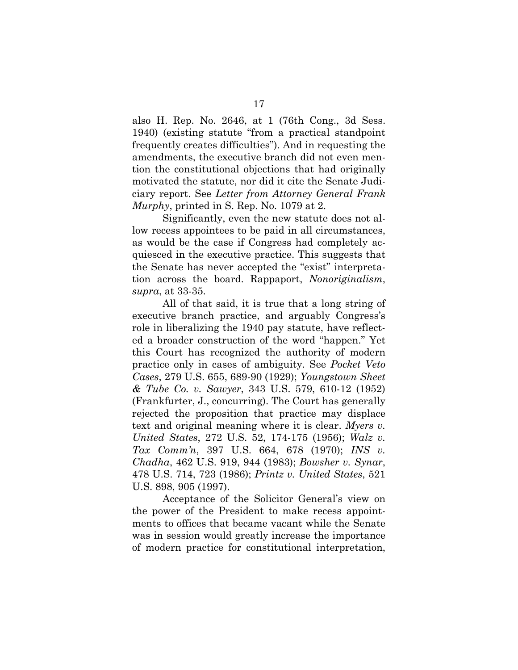also H. Rep. No. 2646, at 1 (76th Cong., 3d Sess. 1940) (existing statute "from a practical standpoint frequently creates difficulties"). And in requesting the amendments, the executive branch did not even mention the constitutional objections that had originally motivated the statute, nor did it cite the Senate Judiciary report. See *Letter from Attorney General Frank Murphy*, printed in S. Rep. No. 1079 at 2.

Significantly, even the new statute does not allow recess appointees to be paid in all circumstances, as would be the case if Congress had completely acquiesced in the executive practice. This suggests that the Senate has never accepted the "exist" interpretation across the board. Rappaport, *Nonoriginalism*, *supra*, at 33-35.

 All of that said, it is true that a long string of executive branch practice, and arguably Congress's role in liberalizing the 1940 pay statute, have reflected a broader construction of the word "happen." Yet this Court has recognized the authority of modern practice only in cases of ambiguity. See *Pocket Veto Cases*, 279 U.S. 655, 689-90 (1929); *Youngstown Sheet & Tube Co. v. Sawyer*, 343 U.S. 579, 610-12 (1952) (Frankfurter, J., concurring). The Court has generally rejected the proposition that practice may displace text and original meaning where it is clear. *Myers v. United States*, 272 U.S. 52, 174-175 (1956); *Walz v. Tax Comm'n*, 397 U.S. 664, 678 (1970); *INS v. Chadha*, 462 U.S. 919, 944 (1983); *Bowsher v. Synar*, 478 U.S. 714, 723 (1986); *Printz v. United States*, 521 U.S. 898, 905 (1997).

Acceptance of the Solicitor General's view on the power of the President to make recess appointments to offices that became vacant while the Senate was in session would greatly increase the importance of modern practice for constitutional interpretation,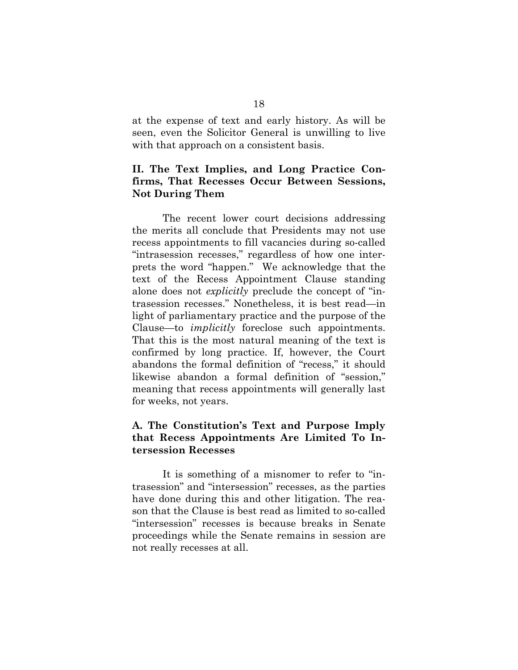at the expense of text and early history. As will be seen, even the Solicitor General is unwilling to live with that approach on a consistent basis.

## **II. The Text Implies, and Long Practice Confirms, That Recesses Occur Between Sessions, Not During Them**

The recent lower court decisions addressing the merits all conclude that Presidents may not use recess appointments to fill vacancies during so-called "intrasession recesses," regardless of how one interprets the word "happen." We acknowledge that the text of the Recess Appointment Clause standing alone does not *explicitly* preclude the concept of "intrasession recesses." Nonetheless, it is best read—in light of parliamentary practice and the purpose of the Clause—to *implicitly* foreclose such appointments. That this is the most natural meaning of the text is confirmed by long practice. If, however, the Court abandons the formal definition of "recess," it should likewise abandon a formal definition of "session," meaning that recess appointments will generally last for weeks, not years.

## **A. The Constitution's Text and Purpose Imply that Recess Appointments Are Limited To Intersession Recesses**

It is something of a misnomer to refer to "intrasession" and "intersession" recesses, as the parties have done during this and other litigation. The reason that the Clause is best read as limited to so-called "intersession" recesses is because breaks in Senate proceedings while the Senate remains in session are not really recesses at all.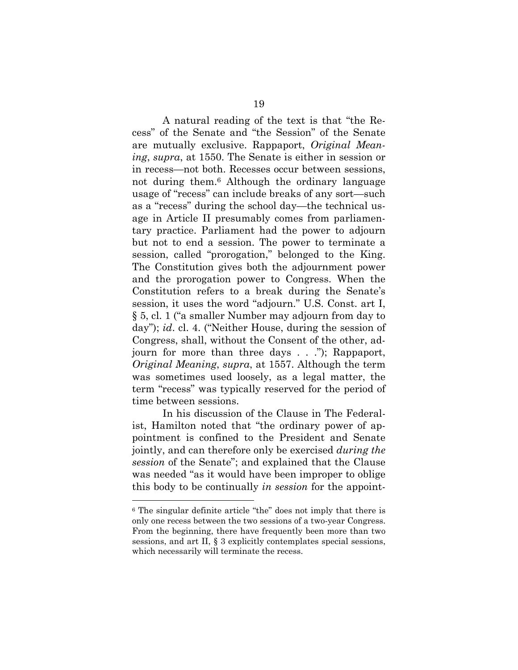A natural reading of the text is that "the Recess" of the Senate and "the Session" of the Senate are mutually exclusive. Rappaport, *Original Meaning*, *supra*, at 1550. The Senate is either in session or in recess—not both. Recesses occur between sessions, not during them.6 Although the ordinary language usage of "recess" can include breaks of any sort—such as a "recess" during the school day—the technical usage in Article II presumably comes from parliamentary practice. Parliament had the power to adjourn but not to end a session. The power to terminate a session, called "prorogation," belonged to the King. The Constitution gives both the adjournment power and the prorogation power to Congress. When the Constitution refers to a break during the Senate's session, it uses the word "adjourn." U.S. Const. art I, § 5, cl. 1 ("a smaller Number may adjourn from day to day"); *id*. cl. 4. ("Neither House, during the session of Congress, shall, without the Consent of the other, adjourn for more than three days . . ."); Rappaport, *Original Meaning*, *supra*, at 1557. Although the term was sometimes used loosely, as a legal matter, the term "recess" was typically reserved for the period of time between sessions.

In his discussion of the Clause in The Federalist, Hamilton noted that "the ordinary power of appointment is confined to the President and Senate jointly, and can therefore only be exercised *during the session* of the Senate"; and explained that the Clause was needed "as it would have been improper to oblige this body to be continually *in session* for the appoint-

<sup>6</sup> The singular definite article "the" does not imply that there is only one recess between the two sessions of a two-year Congress. From the beginning, there have frequently been more than two sessions, and art II, § 3 explicitly contemplates special sessions, which necessarily will terminate the recess.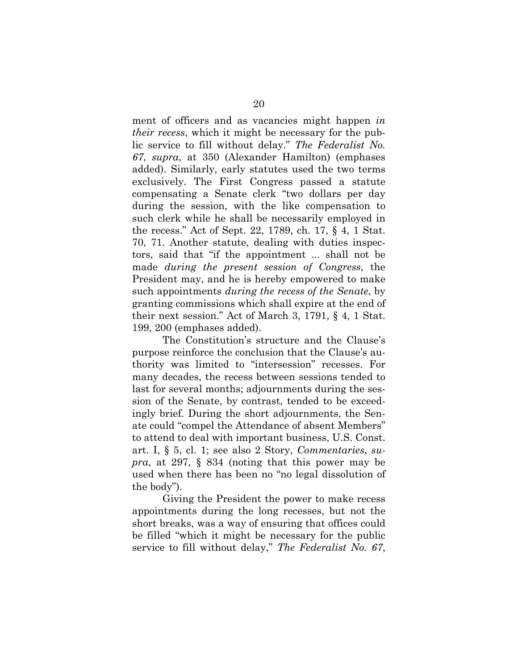ment of officers and as vacancies might happen *in their recess*, which it might be necessary for the public service to fill without delay." *The Federalist No. 67*, *supra*, at 350 (Alexander Hamilton) (emphases added). Similarly, early statutes used the two terms exclusively. The First Congress passed a statute compensating a Senate clerk "two dollars per day during the session, with the like compensation to such clerk while he shall be necessarily employed in the recess." Act of Sept. 22, 1789, ch. 17, § 4, 1 Stat. 70, 71. Another statute, dealing with duties inspectors, said that "if the appointment ... shall not be made *during the present session of Congress*, the President may, and he is hereby empowered to make such appointments *during the recess of the Senate*, by granting commissions which shall expire at the end of their next session." Act of March 3, 1791, § 4, 1 Stat. 199, 200 (emphases added).

The Constitution's structure and the Clause's purpose reinforce the conclusion that the Clause's authority was limited to "intersession" recesses. For many decades, the recess between sessions tended to last for several months; adjournments during the session of the Senate, by contrast, tended to be exceedingly brief. During the short adjournments, the Senate could "compel the Attendance of absent Members" to attend to deal with important business, U.S. Const. art. I, § 5, cl. 1; see also 2 Story, *Commentaries*, *supra*, at 297, § 834 (noting that this power may be used when there has been no "no legal dissolution of the body").

Giving the President the power to make recess appointments during the long recesses, but not the short breaks, was a way of ensuring that offices could be filled "which it might be necessary for the public service to fill without delay," *The Federalist No. 67*,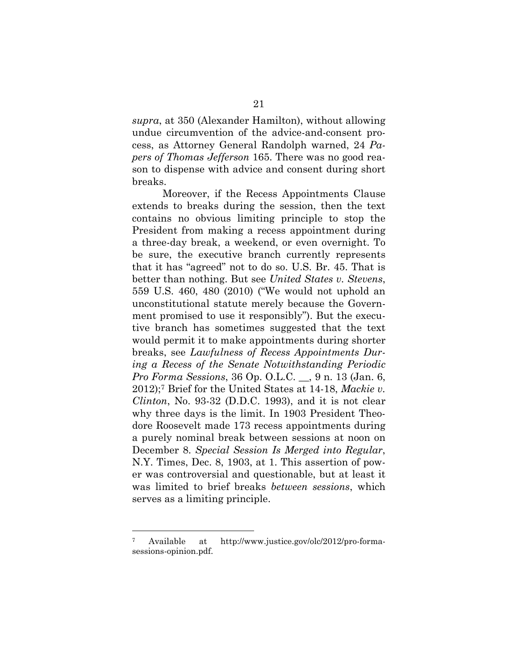*supra*, at 350 (Alexander Hamilton), without allowing undue circumvention of the advice-and-consent process, as Attorney General Randolph warned, 24 *Papers of Thomas Jefferson* 165. There was no good reason to dispense with advice and consent during short breaks.

Moreover, if the Recess Appointments Clause extends to breaks during the session, then the text contains no obvious limiting principle to stop the President from making a recess appointment during a three-day break, a weekend, or even overnight. To be sure, the executive branch currently represents that it has "agreed" not to do so. U.S. Br. 45. That is better than nothing. But see *United States v. Stevens*, 559 U.S. 460, 480 (2010) ("We would not uphold an unconstitutional statute merely because the Government promised to use it responsibly"). But the executive branch has sometimes suggested that the text would permit it to make appointments during shorter breaks, see *Lawfulness of Recess Appointments During a Recess of the Senate Notwithstanding Periodic Pro Forma Sessions*, 36 Op. O.L.C. \_\_, 9 n. 13 (Jan. 6, 2012);7 Brief for the United States at 14-18, *Mackie v. Clinton*, No. 93-32 (D.D.C. 1993), and it is not clear why three days is the limit. In 1903 President Theodore Roosevelt made 173 recess appointments during a purely nominal break between sessions at noon on December 8. *Special Session Is Merged into Regular*, N.Y. Times, Dec. 8, 1903, at 1. This assertion of power was controversial and questionable, but at least it was limited to brief breaks *between sessions*, which serves as a limiting principle.

<sup>7</sup> Available at http://www.justice.gov/olc/2012/pro-formasessions-opinion.pdf.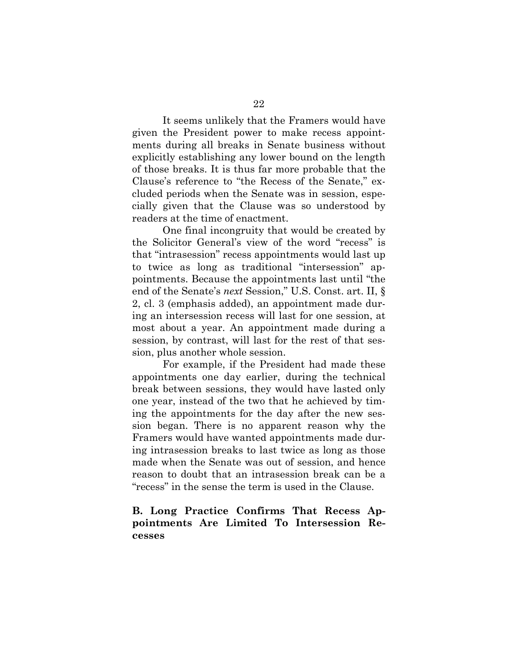It seems unlikely that the Framers would have given the President power to make recess appointments during all breaks in Senate business without explicitly establishing any lower bound on the length of those breaks. It is thus far more probable that the Clause's reference to "the Recess of the Senate," excluded periods when the Senate was in session, especially given that the Clause was so understood by readers at the time of enactment.

 One final incongruity that would be created by the Solicitor General's view of the word "recess" is that "intrasession" recess appointments would last up to twice as long as traditional "intersession" appointments. Because the appointments last until "the end of the Senate's *next* Session," U.S. Const. art. II, § 2, cl. 3 (emphasis added), an appointment made during an intersession recess will last for one session, at most about a year. An appointment made during a session, by contrast, will last for the rest of that session, plus another whole session.

For example, if the President had made these appointments one day earlier, during the technical break between sessions, they would have lasted only one year, instead of the two that he achieved by timing the appointments for the day after the new session began. There is no apparent reason why the Framers would have wanted appointments made during intrasession breaks to last twice as long as those made when the Senate was out of session, and hence reason to doubt that an intrasession break can be a "recess" in the sense the term is used in the Clause.

#### **B. Long Practice Confirms That Recess Appointments Are Limited To Intersession Recesses**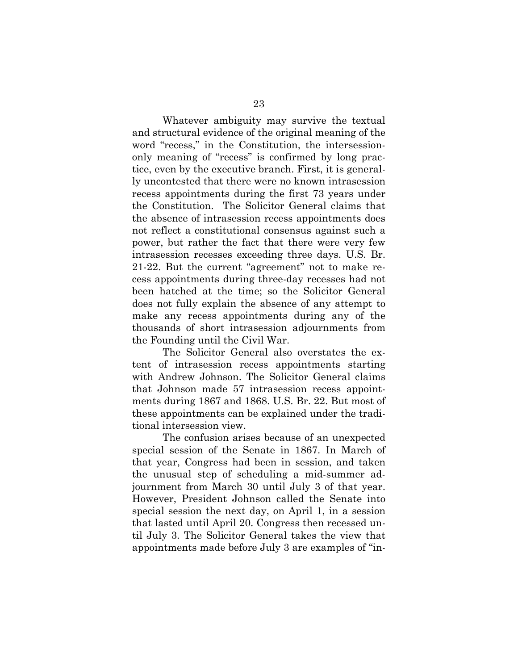Whatever ambiguity may survive the textual and structural evidence of the original meaning of the word "recess," in the Constitution, the intersessiononly meaning of "recess" is confirmed by long practice, even by the executive branch. First, it is generally uncontested that there were no known intrasession recess appointments during the first 73 years under the Constitution. The Solicitor General claims that the absence of intrasession recess appointments does not reflect a constitutional consensus against such a power, but rather the fact that there were very few intrasession recesses exceeding three days. U.S. Br. 21-22. But the current "agreement" not to make recess appointments during three-day recesses had not been hatched at the time; so the Solicitor General does not fully explain the absence of any attempt to make any recess appointments during any of the thousands of short intrasession adjournments from the Founding until the Civil War.

 The Solicitor General also overstates the extent of intrasession recess appointments starting with Andrew Johnson. The Solicitor General claims that Johnson made 57 intrasession recess appointments during 1867 and 1868. U.S. Br. 22. But most of these appointments can be explained under the traditional intersession view.

The confusion arises because of an unexpected special session of the Senate in 1867. In March of that year, Congress had been in session, and taken the unusual step of scheduling a mid-summer adjournment from March 30 until July 3 of that year. However, President Johnson called the Senate into special session the next day, on April 1, in a session that lasted until April 20. Congress then recessed until July 3. The Solicitor General takes the view that appointments made before July 3 are examples of "in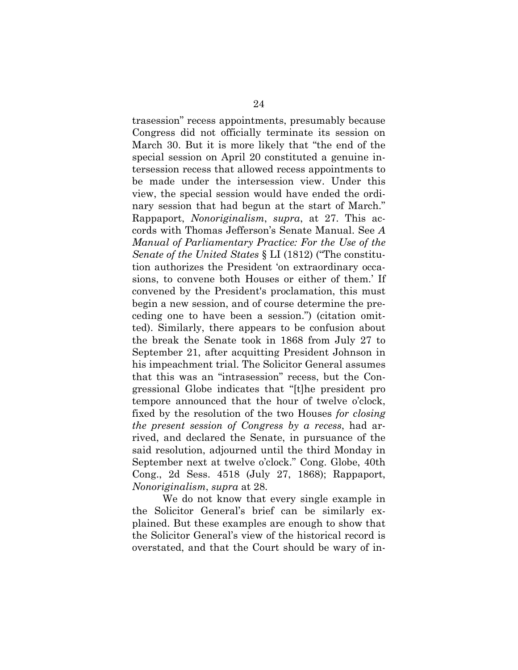trasession" recess appointments, presumably because Congress did not officially terminate its session on March 30. But it is more likely that "the end of the special session on April 20 constituted a genuine intersession recess that allowed recess appointments to be made under the intersession view. Under this view, the special session would have ended the ordinary session that had begun at the start of March." Rappaport, *Nonoriginalism*, *supra*, at 27. This accords with Thomas Jefferson's Senate Manual. See *A Manual of Parliamentary Practice: For the Use of the Senate of the United States* § LI (1812) ("The constitution authorizes the President 'on extraordinary occasions, to convene both Houses or either of them.' If convened by the President's proclamation, this must begin a new session, and of course determine the preceding one to have been a session.") (citation omitted). Similarly, there appears to be confusion about the break the Senate took in 1868 from July 27 to September 21, after acquitting President Johnson in his impeachment trial. The Solicitor General assumes that this was an "intrasession" recess, but the Congressional Globe indicates that "[t]he president pro tempore announced that the hour of twelve o'clock, fixed by the resolution of the two Houses *for closing the present session of Congress by a recess*, had arrived, and declared the Senate, in pursuance of the said resolution, adjourned until the third Monday in September next at twelve o'clock." Cong. Globe, 40th Cong., 2d Sess. 4518 (July 27, 1868); Rappaport, *Nonoriginalism*, *supra* at 28.

We do not know that every single example in the Solicitor General's brief can be similarly explained. But these examples are enough to show that the Solicitor General's view of the historical record is overstated, and that the Court should be wary of in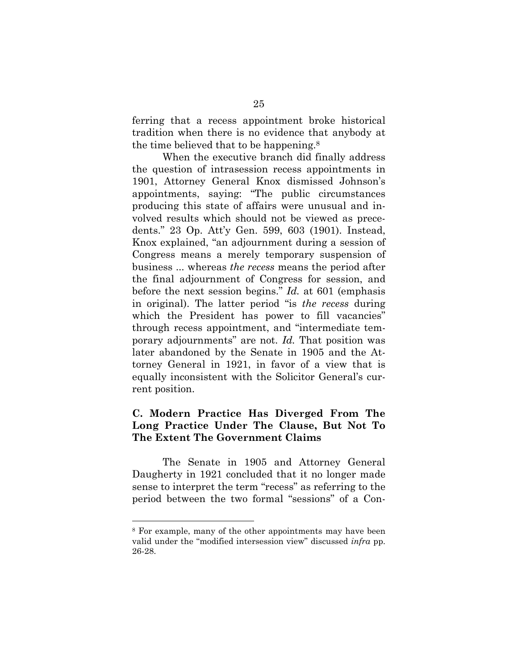ferring that a recess appointment broke historical tradition when there is no evidence that anybody at the time believed that to be happening.8

When the executive branch did finally address the question of intrasession recess appointments in 1901, Attorney General Knox dismissed Johnson's appointments, saying: "The public circumstances producing this state of affairs were unusual and involved results which should not be viewed as precedents." 23 Op. Att'y Gen. 599, 603 (1901). Instead, Knox explained, "an adjournment during a session of Congress means a merely temporary suspension of business ... whereas *the recess* means the period after the final adjournment of Congress for session, and before the next session begins." *Id.* at 601 (emphasis in original). The latter period "is *the recess* during which the President has power to fill vacancies" through recess appointment, and "intermediate temporary adjournments" are not. *Id.* That position was later abandoned by the Senate in 1905 and the Attorney General in 1921, in favor of a view that is equally inconsistent with the Solicitor General's current position.

## **C. Modern Practice Has Diverged From The Long Practice Under The Clause, But Not To The Extent The Government Claims**

 The Senate in 1905 and Attorney General Daugherty in 1921 concluded that it no longer made sense to interpret the term "recess" as referring to the period between the two formal "sessions" of a Con-

<sup>8</sup> For example, many of the other appointments may have been valid under the "modified intersession view" discussed *infra* pp. 26-28.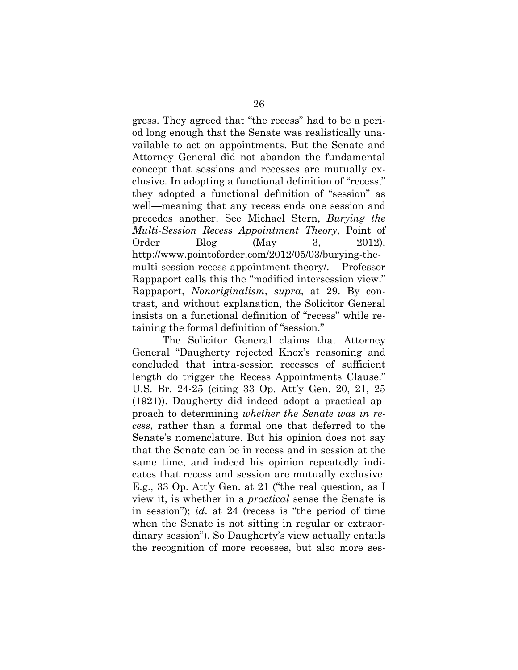gress. They agreed that "the recess" had to be a period long enough that the Senate was realistically unavailable to act on appointments. But the Senate and Attorney General did not abandon the fundamental concept that sessions and recesses are mutually exclusive. In adopting a functional definition of "recess," they adopted a functional definition of "session" as well—meaning that any recess ends one session and precedes another. See Michael Stern, *Burying the Multi-Session Recess Appointment Theory*, Point of Order Blog (May 3, 2012), http://www.pointoforder.com/2012/05/03/burying-themulti-session-recess-appointment-theory/. Professor Rappaport calls this the "modified intersession view." Rappaport, *Nonoriginalism*, *supra*, at 29. By contrast, and without explanation, the Solicitor General insists on a functional definition of "recess" while retaining the formal definition of "session."

The Solicitor General claims that Attorney General "Daugherty rejected Knox's reasoning and concluded that intra-session recesses of sufficient length do trigger the Recess Appointments Clause." U.S. Br. 24-25 (citing 33 Op. Att'y Gen. 20, 21, 25 (1921)). Daugherty did indeed adopt a practical approach to determining *whether the Senate was in recess*, rather than a formal one that deferred to the Senate's nomenclature. But his opinion does not say that the Senate can be in recess and in session at the same time, and indeed his opinion repeatedly indicates that recess and session are mutually exclusive. E.g., 33 Op. Att'y Gen. at 21 ("the real question, as I view it, is whether in a *practical* sense the Senate is in session"); *id*. at 24 (recess is "the period of time when the Senate is not sitting in regular or extraordinary session"). So Daugherty's view actually entails the recognition of more recesses, but also more ses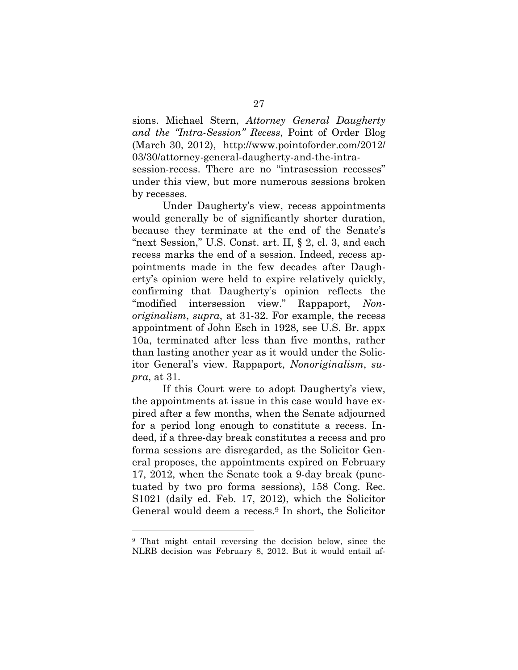sions. Michael Stern, *Attorney General Daugherty and the "Intra-Session" Recess*, Point of Order Blog (March 30, 2012), http://www.pointoforder.com/2012/ 03/30/attorney-general-daugherty-and-the-intra-

session-recess. There are no "intrasession recesses" under this view, but more numerous sessions broken by recesses.

Under Daugherty's view, recess appointments would generally be of significantly shorter duration, because they terminate at the end of the Senate's "next Session," U.S. Const. art. II, § 2, cl. 3, and each recess marks the end of a session. Indeed, recess appointments made in the few decades after Daugherty's opinion were held to expire relatively quickly, confirming that Daugherty's opinion reflects the "modified intersession view." Rappaport, *Nonoriginalism*, *supra*, at 31-32. For example, the recess appointment of John Esch in 1928, see U.S. Br. appx 10a, terminated after less than five months, rather than lasting another year as it would under the Solicitor General's view. Rappaport, *Nonoriginalism*, *supra*, at 31.

If this Court were to adopt Daugherty's view, the appointments at issue in this case would have expired after a few months, when the Senate adjourned for a period long enough to constitute a recess. Indeed, if a three-day break constitutes a recess and pro forma sessions are disregarded, as the Solicitor General proposes, the appointments expired on February 17, 2012, when the Senate took a 9-day break (punctuated by two pro forma sessions), 158 Cong. Rec. S1021 (daily ed. Feb. 17, 2012), which the Solicitor General would deem a recess.9 In short, the Solicitor

<sup>9</sup> That might entail reversing the decision below, since the NLRB decision was February 8, 2012. But it would entail af-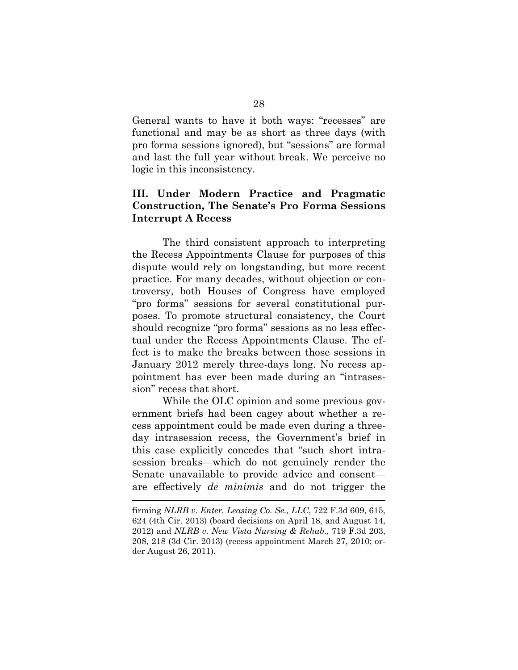General wants to have it both ways: "recesses" are functional and may be as short as three days (with pro forma sessions ignored), but "sessions" are formal and last the full year without break. We perceive no logic in this inconsistency.

## **III. Under Modern Practice and Pragmatic Construction, The Senate's Pro Forma Sessions Interrupt A Recess**

The third consistent approach to interpreting the Recess Appointments Clause for purposes of this dispute would rely on longstanding, but more recent practice. For many decades, without objection or controversy, both Houses of Congress have employed "pro forma" sessions for several constitutional purposes. To promote structural consistency, the Court should recognize "pro forma" sessions as no less effectual under the Recess Appointments Clause. The effect is to make the breaks between those sessions in January 2012 merely three-days long. No recess appointment has ever been made during an "intrasession" recess that short.

While the OLC opinion and some previous government briefs had been cagey about whether a recess appointment could be made even during a threeday intrasession recess, the Government's brief in this case explicitly concedes that "such short intrasession breaks—which do not genuinely render the Senate unavailable to provide advice and consent are effectively *de minimis* and do not trigger the

firming *NLRB v. Enter. Leasing Co. Se., LLC*, 722 F.3d 609, 615, 624 (4th Cir. 2013) (board decisions on April 18, and August 14, 2012) and *NLRB v. New Vista Nursing & Rehab.*, 719 F.3d 203, 208, 218 (3d Cir. 2013) (recess appointment March 27, 2010; order August 26, 2011).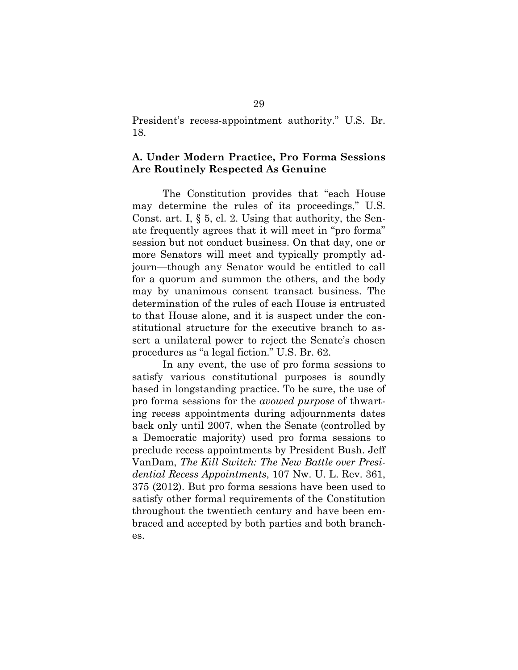President's recess-appointment authority." U.S. Br. 18.

#### **A. Under Modern Practice, Pro Forma Sessions Are Routinely Respected As Genuine**

The Constitution provides that "each House may determine the rules of its proceedings," U.S. Const. art. I,  $\S$  5, cl. 2. Using that authority, the Senate frequently agrees that it will meet in "pro forma" session but not conduct business. On that day, one or more Senators will meet and typically promptly adjourn—though any Senator would be entitled to call for a quorum and summon the others, and the body may by unanimous consent transact business. The determination of the rules of each House is entrusted to that House alone, and it is suspect under the constitutional structure for the executive branch to assert a unilateral power to reject the Senate's chosen procedures as "a legal fiction." U.S. Br. 62.

In any event, the use of pro forma sessions to satisfy various constitutional purposes is soundly based in longstanding practice. To be sure, the use of pro forma sessions for the *avowed purpose* of thwarting recess appointments during adjournments dates back only until 2007, when the Senate (controlled by a Democratic majority) used pro forma sessions to preclude recess appointments by President Bush. Jeff VanDam, *The Kill Switch: The New Battle over Presidential Recess Appointments*, 107 Nw. U. L. Rev. 361, 375 (2012). But pro forma sessions have been used to satisfy other formal requirements of the Constitution throughout the twentieth century and have been embraced and accepted by both parties and both branches.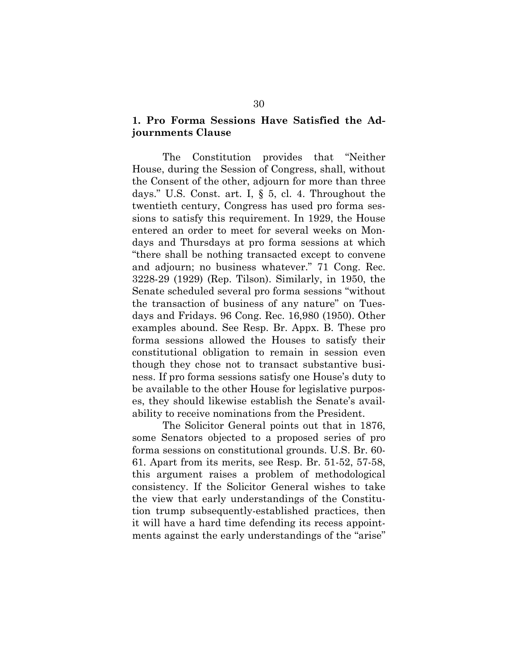## **1. Pro Forma Sessions Have Satisfied the Adjournments Clause**

 The Constitution provides that "Neither House, during the Session of Congress, shall, without the Consent of the other, adjourn for more than three days." U.S. Const. art. I, § 5, cl. 4. Throughout the twentieth century, Congress has used pro forma sessions to satisfy this requirement. In 1929, the House entered an order to meet for several weeks on Mondays and Thursdays at pro forma sessions at which "there shall be nothing transacted except to convene and adjourn; no business whatever." 71 Cong. Rec. 3228-29 (1929) (Rep. Tilson). Similarly, in 1950, the Senate scheduled several pro forma sessions "without the transaction of business of any nature" on Tuesdays and Fridays. 96 Cong. Rec. 16,980 (1950). Other examples abound. See Resp. Br. Appx. B. These pro forma sessions allowed the Houses to satisfy their constitutional obligation to remain in session even though they chose not to transact substantive business. If pro forma sessions satisfy one House's duty to be available to the other House for legislative purposes, they should likewise establish the Senate's availability to receive nominations from the President.

 The Solicitor General points out that in 1876, some Senators objected to a proposed series of pro forma sessions on constitutional grounds. U.S. Br. 60- 61. Apart from its merits, see Resp. Br. 51-52, 57-58, this argument raises a problem of methodological consistency. If the Solicitor General wishes to take the view that early understandings of the Constitution trump subsequently-established practices, then it will have a hard time defending its recess appointments against the early understandings of the "arise"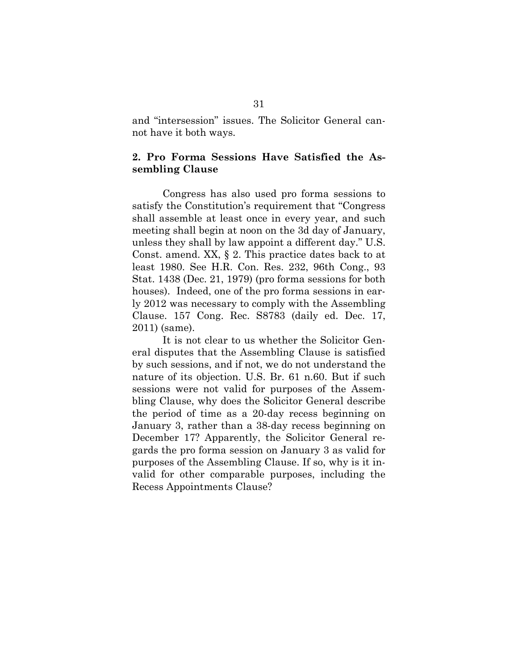and "intersession" issues. The Solicitor General cannot have it both ways.

#### **2. Pro Forma Sessions Have Satisfied the Assembling Clause**

 Congress has also used pro forma sessions to satisfy the Constitution's requirement that "Congress shall assemble at least once in every year, and such meeting shall begin at noon on the 3d day of January, unless they shall by law appoint a different day." U.S. Const. amend. XX, § 2. This practice dates back to at least 1980. See H.R. Con. Res. 232, 96th Cong., 93 Stat. 1438 (Dec. 21, 1979) (pro forma sessions for both houses). Indeed, one of the pro forma sessions in early 2012 was necessary to comply with the Assembling Clause. 157 Cong. Rec. S8783 (daily ed. Dec. 17, 2011) (same).

 It is not clear to us whether the Solicitor General disputes that the Assembling Clause is satisfied by such sessions, and if not, we do not understand the nature of its objection. U.S. Br. 61 n.60. But if such sessions were not valid for purposes of the Assembling Clause, why does the Solicitor General describe the period of time as a 20-day recess beginning on January 3, rather than a 38-day recess beginning on December 17? Apparently, the Solicitor General regards the pro forma session on January 3 as valid for purposes of the Assembling Clause. If so, why is it invalid for other comparable purposes, including the Recess Appointments Clause?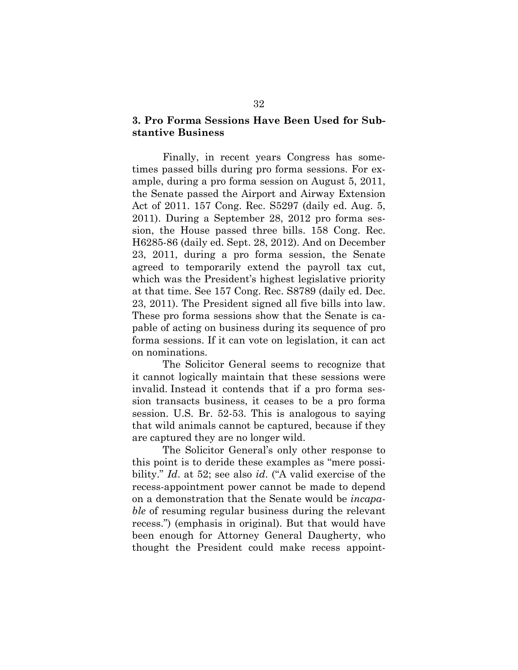#### **3. Pro Forma Sessions Have Been Used for Substantive Business**

 Finally, in recent years Congress has sometimes passed bills during pro forma sessions. For example, during a pro forma session on August 5, 2011, the Senate passed the Airport and Airway Extension Act of 2011. 157 Cong. Rec. S5297 (daily ed. Aug. 5, 2011). During a September 28, 2012 pro forma session, the House passed three bills. 158 Cong. Rec. H6285-86 (daily ed. Sept. 28, 2012). And on December 23, 2011, during a pro forma session, the Senate agreed to temporarily extend the payroll tax cut, which was the President's highest legislative priority at that time. See 157 Cong. Rec. S8789 (daily ed. Dec. 23, 2011). The President signed all five bills into law. These pro forma sessions show that the Senate is capable of acting on business during its sequence of pro forma sessions. If it can vote on legislation, it can act on nominations.

The Solicitor General seems to recognize that it cannot logically maintain that these sessions were invalid. Instead it contends that if a pro forma session transacts business, it ceases to be a pro forma session. U.S. Br. 52-53. This is analogous to saying that wild animals cannot be captured, because if they are captured they are no longer wild.

The Solicitor General's only other response to this point is to deride these examples as "mere possibility." *Id*. at 52; see also *id*. ("A valid exercise of the recess-appointment power cannot be made to depend on a demonstration that the Senate would be *incapable* of resuming regular business during the relevant recess.") (emphasis in original). But that would have been enough for Attorney General Daugherty, who thought the President could make recess appoint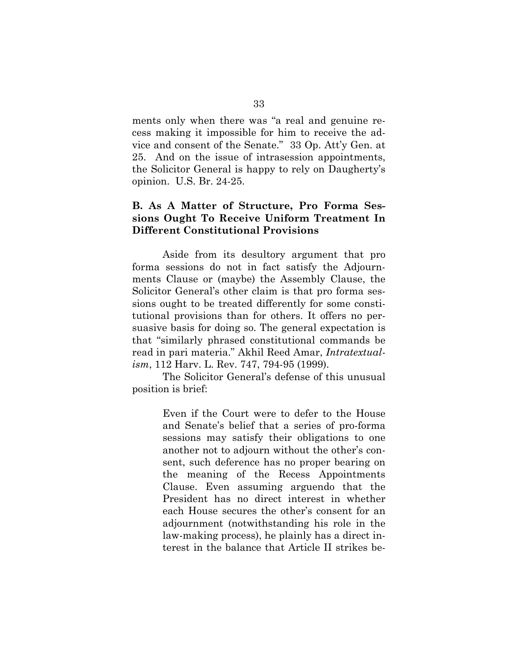ments only when there was "a real and genuine recess making it impossible for him to receive the advice and consent of the Senate." 33 Op. Att'y Gen. at 25. And on the issue of intrasession appointments, the Solicitor General is happy to rely on Daugherty's opinion. U.S. Br. 24-25.

## **B. As A Matter of Structure, Pro Forma Sessions Ought To Receive Uniform Treatment In Different Constitutional Provisions**

 Aside from its desultory argument that pro forma sessions do not in fact satisfy the Adjournments Clause or (maybe) the Assembly Clause, the Solicitor General's other claim is that pro forma sessions ought to be treated differently for some constitutional provisions than for others. It offers no persuasive basis for doing so. The general expectation is that "similarly phrased constitutional commands be read in pari materia." Akhil Reed Amar, *Intratextualism*, 112 Harv. L. Rev. 747, 794-95 (1999).

 The Solicitor General's defense of this unusual position is brief:

> Even if the Court were to defer to the House and Senate's belief that a series of pro-forma sessions may satisfy their obligations to one another not to adjourn without the other's consent, such deference has no proper bearing on the meaning of the Recess Appointments Clause. Even assuming arguendo that the President has no direct interest in whether each House secures the other's consent for an adjournment (notwithstanding his role in the law-making process), he plainly has a direct interest in the balance that Article II strikes be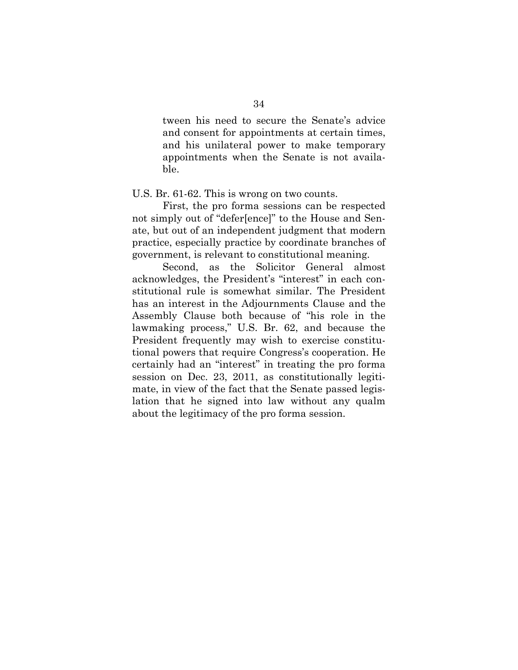tween his need to secure the Senate's advice and consent for appointments at certain times, and his unilateral power to make temporary appointments when the Senate is not available.

#### U.S. Br. 61-62. This is wrong on two counts.

 First, the pro forma sessions can be respected not simply out of "defer[ence]" to the House and Senate, but out of an independent judgment that modern practice, especially practice by coordinate branches of government, is relevant to constitutional meaning.

 Second, as the Solicitor General almost acknowledges, the President's "interest" in each constitutional rule is somewhat similar. The President has an interest in the Adjournments Clause and the Assembly Clause both because of "his role in the lawmaking process," U.S. Br. 62, and because the President frequently may wish to exercise constitutional powers that require Congress's cooperation. He certainly had an "interest" in treating the pro forma session on Dec. 23, 2011, as constitutionally legitimate, in view of the fact that the Senate passed legislation that he signed into law without any qualm about the legitimacy of the pro forma session.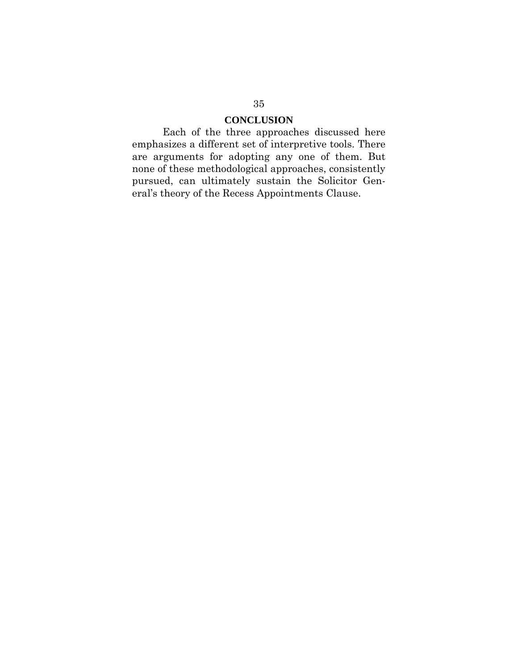## **CONCLUSION**

Each of the three approaches discussed here emphasizes a different set of interpretive tools. There are arguments for adopting any one of them. But none of these methodological approaches, consistently pursued, can ultimately sustain the Solicitor General's theory of the Recess Appointments Clause.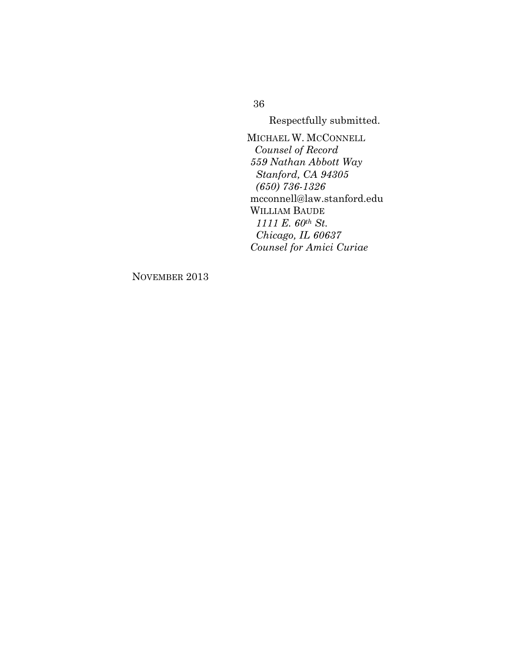Respectfully submitted.

 MICHAEL W. MCCONNELL *Counsel of Record 559 Nathan Abbott Way Stanford, CA 94305 (650) 736-1326*  mcconnell@law.stanford.edu WILLIAM BAUDE  *1111 E. 60th St. Chicago, IL 60637 Counsel for Amici Curiae* 

NOVEMBER 2013

36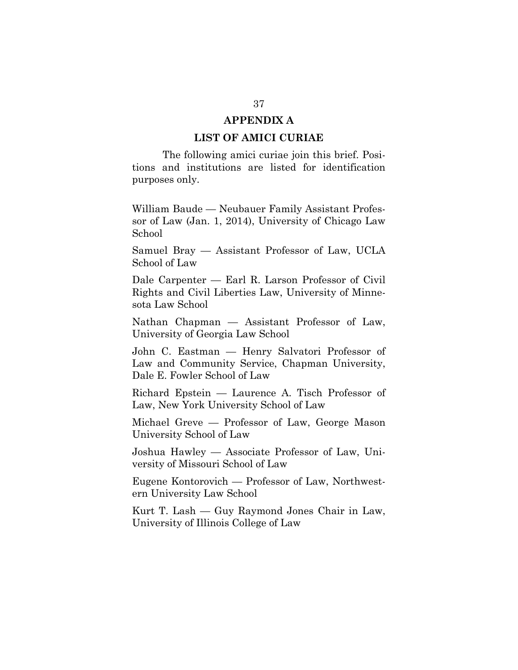#### **APPENDIX A**

#### **LIST OF AMICI CURIAE**

The following amici curiae join this brief. Positions and institutions are listed for identification purposes only.

William Baude — Neubauer Family Assistant Professor of Law (Jan. 1, 2014), University of Chicago Law School

Samuel Bray — Assistant Professor of Law, UCLA School of Law

Dale Carpenter — Earl R. Larson Professor of Civil Rights and Civil Liberties Law, University of Minnesota Law School

Nathan Chapman — Assistant Professor of Law, University of Georgia Law School

John C. Eastman — Henry Salvatori Professor of Law and Community Service, Chapman University, Dale E. Fowler School of Law

Richard Epstein — Laurence A. Tisch Professor of Law, New York University School of Law

Michael Greve — Professor of Law, George Mason University School of Law

Joshua Hawley — Associate Professor of Law, University of Missouri School of Law

Eugene Kontorovich — Professor of Law, Northwestern University Law School

Kurt T. Lash — Guy Raymond Jones Chair in Law, University of Illinois College of Law